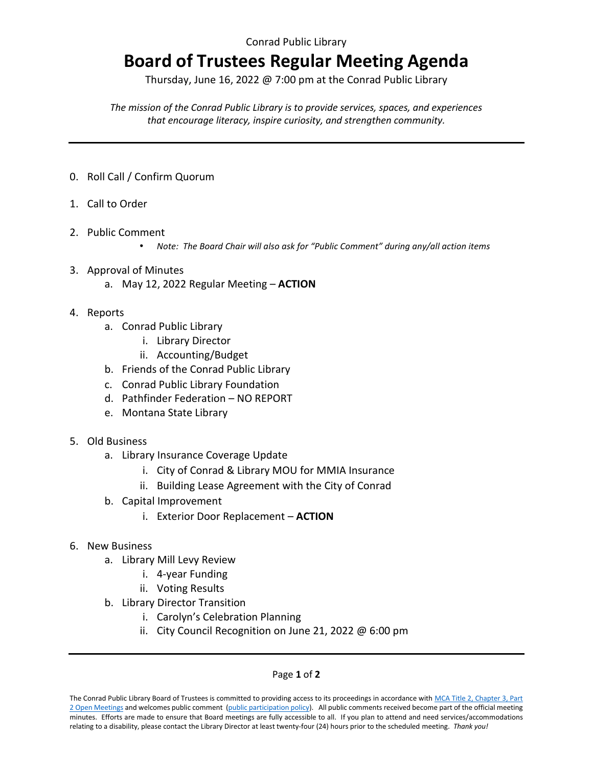## **Board of Trustees Regular Meeting Agenda**

Thursday, June 16, 2022 @ 7:00 pm at the Conrad Public Library

*The mission of the Conrad Public Library is to provide services, spaces, and experiences that encourage literacy, inspire curiosity, and strengthen community.*

- 0. Roll Call / Confirm Quorum
- 1. Call to Order
- 2. Public Comment
	- *Note: The Board Chair will also ask for "Public Comment" during any/all action items*
- 3. Approval of Minutes
	- a. May 12, 2022 Regular Meeting **ACTION**
- 4. Reports
	- a. Conrad Public Library
		- i. Library Director
		- ii. Accounting/Budget
	- b. Friends of the Conrad Public Library
	- c. Conrad Public Library Foundation
	- d. Pathfinder Federation NO REPORT
	- e. Montana State Library
- 5. Old Business
	- a. Library Insurance Coverage Update
		- i. City of Conrad & Library MOU for MMIA Insurance
		- ii. Building Lease Agreement with the City of Conrad
	- b. Capital Improvement
		- i. Exterior Door Replacement **ACTION**
- 6. New Business
	- a. Library Mill Levy Review
		- i. 4-year Funding
		- ii. Voting Results
	- b. Library Director Transition
		- i. Carolyn's Celebration Planning
		- ii. City Council Recognition on June 21, 2022 @ 6:00 pm

## Page **1** of **2**

The Conrad Public Library Board of Trustees is committed to providing access to its proceedings in accordance with MCA Title 2, Chapter 3, Part [2 Open Meetings](https://leg.mt.gov/bills/mca/title_0020/chapter_0030/part_0020/sections_index.html) and welcomes public comment [\(public participation policy\).](https://a50e8927-1e7c-4034-99c5-24430ff13172.filesusr.com/ugd/984806_ad55670a0b7a4b16a6edafbe922165a6.pdf) All public comments received become part of the official meeting minutes. Efforts are made to ensure that Board meetings are fully accessible to all. If you plan to attend and need services/accommodations relating to a disability, please contact the Library Director at least twenty-four (24) hours prior to the scheduled meeting. *Thank you!*